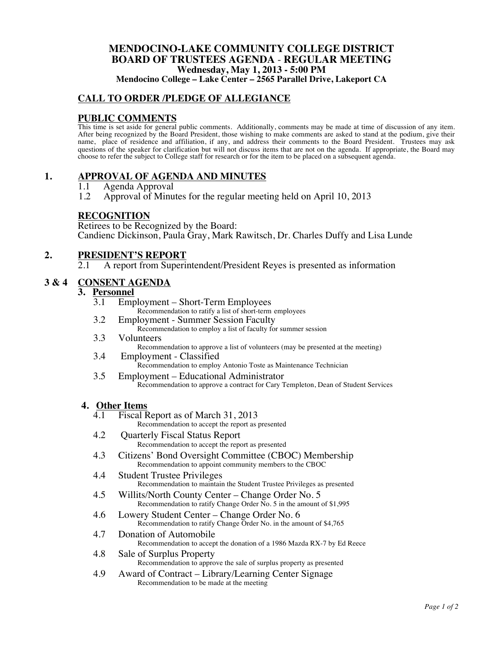## **MENDOCINO-LAKE COMMUNITY COLLEGE DISTRICT BOARD OF TRUSTEES AGENDA** - **REGULAR MEETING Wednesday, May 1, 2013 - 5:00 PM**

**Mendocino College – Lake Center – 2565 Parallel Drive, Lakeport CA**

## **CALL TO ORDER /PLEDGE OF ALLEGIANCE**

#### **PUBLIC COMMENTS**

This time is set aside for general public comments. Additionally, comments may be made at time of discussion of any item. After being recognized by the Board President, those wishing to make comments are asked to stand at the podium, give their name, place of residence and affiliation, if any, and address their comments to the Board President. Trustees may ask questions of the speaker for clarification but will not discuss items that are not on the agenda. If appropriate, the Board may choose to refer the subject to College staff for research or for the item to be placed on a subsequent agenda.

#### **1. APPROVAL OF AGENDA AND MINUTES**

- 1.1 Agenda Approval<br>1.2 Approval of Minu
- 1.2 Approval of Minutes for the regular meeting held on April 10, 2013

#### **RECOGNITION**

Retirees to be Recognized by the Board: Candienc Dickinson, Paula Gray, Mark Rawitsch, Dr. Charles Duffy and Lisa Lunde

#### **2. PRESIDENT'S REPORT**

2.1 A report from Superintendent/President Reyes is presented as information

#### **3 & 4 CONSENT AGENDA**

## **3.** <u>Personnel</u><br> **3.1** Emp

- Employment Short-Term Employees Recommendation to ratify a list of short-term employees
- 3.2 Employment Summer Session Faculty
	- Recommendation to employ a list of faculty for summer session
- 3.3 Volunteers Recommendation to approve a list of volunteers (may be presented at the meeting)
- 3.4 Employment Classified Recommendation to employ Antonio Toste as Maintenance Technician
- 3.5 Employment Educational Administrator Recommendation to approve a contract for Cary Templeton, Dean of Student Services

#### **4. Other Items**

- 4.1 Fiscal Report as of March 31, 2013 Recommendation to accept the report as presented
- 4.2 Quarterly Fiscal Status Report Recommendation to accept the report as presented
- 4.3 Citizens' Bond Oversight Committee (CBOC) Membership Recommendation to appoint community members to the CBOC
- 4.4 Student Trustee Privileges Recommendation to maintain the Student Trustee Privileges as presented
- 4.5 Willits/North County Center Change Order No. 5 Recommendation to ratify Change Order No. 5 in the amount of \$1,995
- 4.6 Lowery Student Center Change Order No. 6 Recommendation to ratify Change Order No. in the amount of \$4,765
- 4.7 Donation of Automobile Recommendation to accept the donation of a 1986 Mazda RX-7 by Ed Reece
- 4.8 Sale of Surplus Property Recommendation to approve the sale of surplus property as presented
- 4.9 Award of Contract Library/Learning Center Signage Recommendation to be made at the meeting